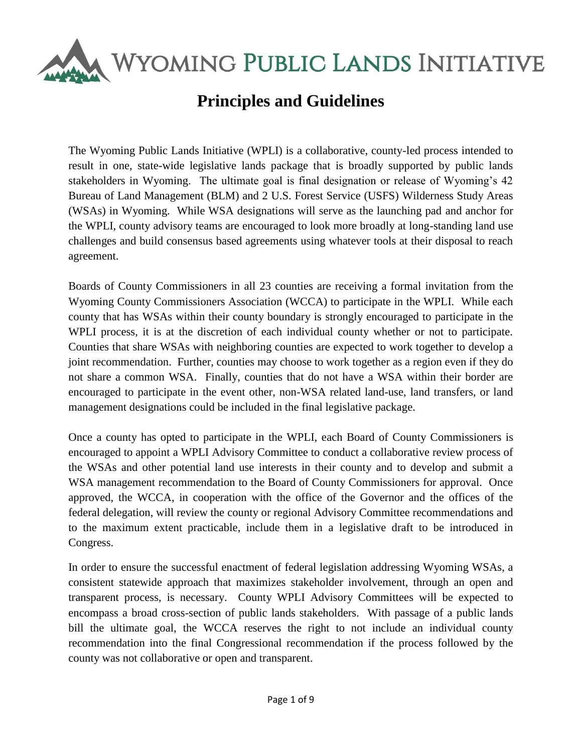WYOMING PUBLIC LANDS INITIATIVE

# **Principles and Guidelines**

The Wyoming Public Lands Initiative (WPLI) is a collaborative, county-led process intended to result in one, state-wide legislative lands package that is broadly supported by public lands stakeholders in Wyoming. The ultimate goal is final designation or release of Wyoming's 42 Bureau of Land Management (BLM) and 2 U.S. Forest Service (USFS) Wilderness Study Areas (WSAs) in Wyoming. While WSA designations will serve as the launching pad and anchor for the WPLI, county advisory teams are encouraged to look more broadly at long-standing land use challenges and build consensus based agreements using whatever tools at their disposal to reach agreement.

Boards of County Commissioners in all 23 counties are receiving a formal invitation from the Wyoming County Commissioners Association (WCCA) to participate in the WPLI. While each county that has WSAs within their county boundary is strongly encouraged to participate in the WPLI process, it is at the discretion of each individual county whether or not to participate. Counties that share WSAs with neighboring counties are expected to work together to develop a joint recommendation. Further, counties may choose to work together as a region even if they do not share a common WSA. Finally, counties that do not have a WSA within their border are encouraged to participate in the event other, non-WSA related land-use, land transfers, or land management designations could be included in the final legislative package.

Once a county has opted to participate in the WPLI, each Board of County Commissioners is encouraged to appoint a WPLI Advisory Committee to conduct a collaborative review process of the WSAs and other potential land use interests in their county and to develop and submit a WSA management recommendation to the Board of County Commissioners for approval. Once approved, the WCCA, in cooperation with the office of the Governor and the offices of the federal delegation, will review the county or regional Advisory Committee recommendations and to the maximum extent practicable, include them in a legislative draft to be introduced in Congress.

In order to ensure the successful enactment of federal legislation addressing Wyoming WSAs, a consistent statewide approach that maximizes stakeholder involvement, through an open and transparent process, is necessary. County WPLI Advisory Committees will be expected to encompass a broad cross-section of public lands stakeholders. With passage of a public lands bill the ultimate goal, the WCCA reserves the right to not include an individual county recommendation into the final Congressional recommendation if the process followed by the county was not collaborative or open and transparent.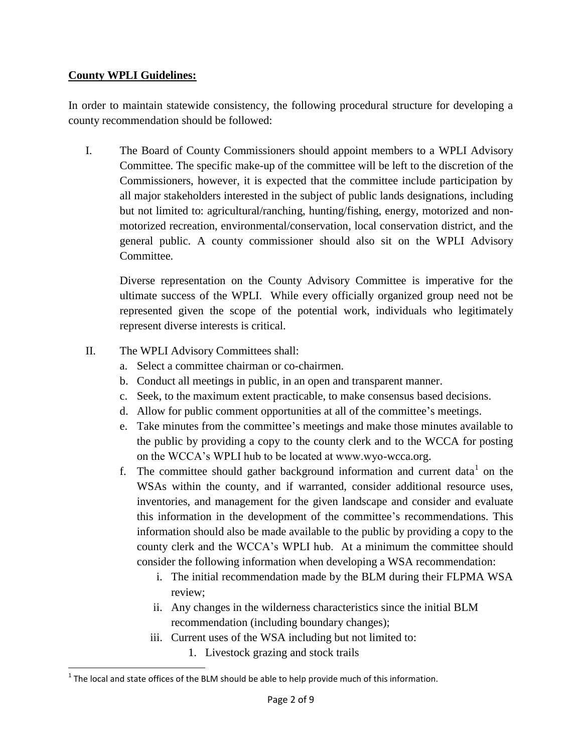## **County WPLI Guidelines:**

In order to maintain statewide consistency, the following procedural structure for developing a county recommendation should be followed:

I. The Board of County Commissioners should appoint members to a WPLI Advisory Committee. The specific make-up of the committee will be left to the discretion of the Commissioners, however, it is expected that the committee include participation by all major stakeholders interested in the subject of public lands designations, including but not limited to: agricultural/ranching, hunting/fishing, energy, motorized and nonmotorized recreation, environmental/conservation, local conservation district, and the general public. A county commissioner should also sit on the WPLI Advisory Committee.

Diverse representation on the County Advisory Committee is imperative for the ultimate success of the WPLI. While every officially organized group need not be represented given the scope of the potential work, individuals who legitimately represent diverse interests is critical.

- II. The WPLI Advisory Committees shall:
	- a. Select a committee chairman or co-chairmen.
	- b. Conduct all meetings in public, in an open and transparent manner.
	- c. Seek, to the maximum extent practicable, to make consensus based decisions.
	- d. Allow for public comment opportunities at all of the committee's meetings.
	- e. Take minutes from the committee's meetings and make those minutes available to the public by providing a copy to the county clerk and to the WCCA for posting on the WCCA's WPLI hub to be located at www.wyo-wcca.org.
	- f. The committee should gather background information and current data<sup>1</sup> on the WSAs within the county, and if warranted, consider additional resource uses, inventories, and management for the given landscape and consider and evaluate this information in the development of the committee's recommendations. This information should also be made available to the public by providing a copy to the county clerk and the WCCA's WPLI hub. At a minimum the committee should consider the following information when developing a WSA recommendation:
		- i. The initial recommendation made by the BLM during their FLPMA WSA review;
		- ii. Any changes in the wilderness characteristics since the initial BLM recommendation (including boundary changes);
		- iii. Current uses of the WSA including but not limited to:
			- 1. Livestock grazing and stock trails

 $\overline{\phantom{a}}$  $1$  The local and state offices of the BLM should be able to help provide much of this information.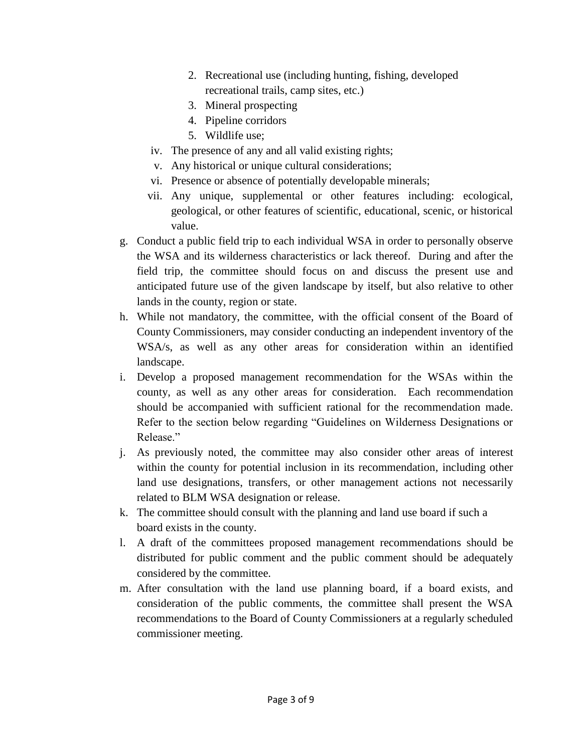- 2. Recreational use (including hunting, fishing, developed recreational trails, camp sites, etc.)
- 3. Mineral prospecting
- 4. Pipeline corridors
- 5. Wildlife use;
- iv. The presence of any and all valid existing rights;
- v. Any historical or unique cultural considerations;
- vi. Presence or absence of potentially developable minerals;
- vii. Any unique, supplemental or other features including: ecological, geological, or other features of scientific, educational, scenic, or historical value.
- g. Conduct a public field trip to each individual WSA in order to personally observe the WSA and its wilderness characteristics or lack thereof. During and after the field trip, the committee should focus on and discuss the present use and anticipated future use of the given landscape by itself, but also relative to other lands in the county, region or state.
- h. While not mandatory, the committee, with the official consent of the Board of County Commissioners, may consider conducting an independent inventory of the WSA/s, as well as any other areas for consideration within an identified landscape.
- i. Develop a proposed management recommendation for the WSAs within the county, as well as any other areas for consideration. Each recommendation should be accompanied with sufficient rational for the recommendation made. Refer to the section below regarding "Guidelines on Wilderness Designations or Release."
- j. As previously noted, the committee may also consider other areas of interest within the county for potential inclusion in its recommendation, including other land use designations, transfers, or other management actions not necessarily related to BLM WSA designation or release.
- k. The committee should consult with the planning and land use board if such a board exists in the county.
- l. A draft of the committees proposed management recommendations should be distributed for public comment and the public comment should be adequately considered by the committee.
- m. After consultation with the land use planning board, if a board exists, and consideration of the public comments, the committee shall present the WSA recommendations to the Board of County Commissioners at a regularly scheduled commissioner meeting.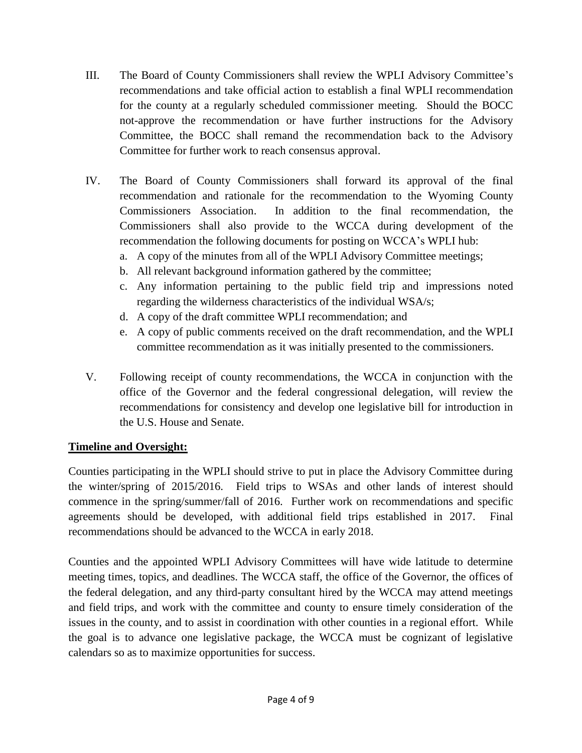- III. The Board of County Commissioners shall review the WPLI Advisory Committee's recommendations and take official action to establish a final WPLI recommendation for the county at a regularly scheduled commissioner meeting. Should the BOCC not-approve the recommendation or have further instructions for the Advisory Committee, the BOCC shall remand the recommendation back to the Advisory Committee for further work to reach consensus approval.
- IV. The Board of County Commissioners shall forward its approval of the final recommendation and rationale for the recommendation to the Wyoming County Commissioners Association. In addition to the final recommendation, the Commissioners shall also provide to the WCCA during development of the recommendation the following documents for posting on WCCA's WPLI hub:
	- a. A copy of the minutes from all of the WPLI Advisory Committee meetings;
	- b. All relevant background information gathered by the committee;
	- c. Any information pertaining to the public field trip and impressions noted regarding the wilderness characteristics of the individual WSA/s;
	- d. A copy of the draft committee WPLI recommendation; and
	- e. A copy of public comments received on the draft recommendation, and the WPLI committee recommendation as it was initially presented to the commissioners.
- V. Following receipt of county recommendations, the WCCA in conjunction with the office of the Governor and the federal congressional delegation, will review the recommendations for consistency and develop one legislative bill for introduction in the U.S. House and Senate.

## **Timeline and Oversight:**

Counties participating in the WPLI should strive to put in place the Advisory Committee during the winter/spring of 2015/2016. Field trips to WSAs and other lands of interest should commence in the spring/summer/fall of 2016. Further work on recommendations and specific agreements should be developed, with additional field trips established in 2017. Final recommendations should be advanced to the WCCA in early 2018.

Counties and the appointed WPLI Advisory Committees will have wide latitude to determine meeting times, topics, and deadlines. The WCCA staff, the office of the Governor, the offices of the federal delegation, and any third-party consultant hired by the WCCA may attend meetings and field trips, and work with the committee and county to ensure timely consideration of the issues in the county, and to assist in coordination with other counties in a regional effort. While the goal is to advance one legislative package, the WCCA must be cognizant of legislative calendars so as to maximize opportunities for success.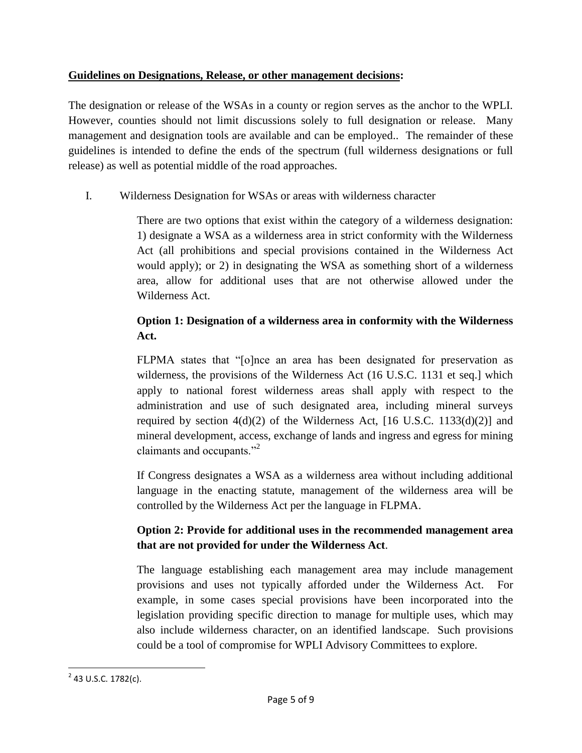### **Guidelines on Designations, Release, or other management decisions:**

The designation or release of the WSAs in a county or region serves as the anchor to the WPLI. However, counties should not limit discussions solely to full designation or release. Many management and designation tools are available and can be employed.. The remainder of these guidelines is intended to define the ends of the spectrum (full wilderness designations or full release) as well as potential middle of the road approaches.

I. Wilderness Designation for WSAs or areas with wilderness character

There are two options that exist within the category of a wilderness designation: 1) designate a WSA as a wilderness area in strict conformity with the Wilderness Act (all prohibitions and special provisions contained in the Wilderness Act would apply); or 2) in designating the WSA as something short of a wilderness area, allow for additional uses that are not otherwise allowed under the Wilderness Act.

# **Option 1: Designation of a wilderness area in conformity with the Wilderness Act.**

FLPMA states that "[o]nce an area has been designated for preservation as wilderness, the provisions of the Wilderness Act (16 U.S.C. 1131 et seq.] which apply to national forest wilderness areas shall apply with respect to the administration and use of such designated area, including mineral surveys required by section  $4(d)(2)$  of the Wilderness Act, [16 U.S.C. 1133(d)(2)] and mineral development, access, exchange of lands and ingress and egress for mining claimants and occupants."<sup>2</sup>

If Congress designates a WSA as a wilderness area without including additional language in the enacting statute, management of the wilderness area will be controlled by the Wilderness Act per the language in FLPMA.

# **Option 2: Provide for additional uses in the recommended management area that are not provided for under the Wilderness Act**.

The language establishing each management area may include management provisions and uses not typically afforded under the Wilderness Act. For example, in some cases special provisions have been incorporated into the legislation providing specific direction to manage for multiple uses, which may also include wilderness character, on an identified landscape. Such provisions could be a tool of compromise for WPLI Advisory Committees to explore.

 $\overline{\phantom{a}}$  $2$  43 U.S.C. 1782(c).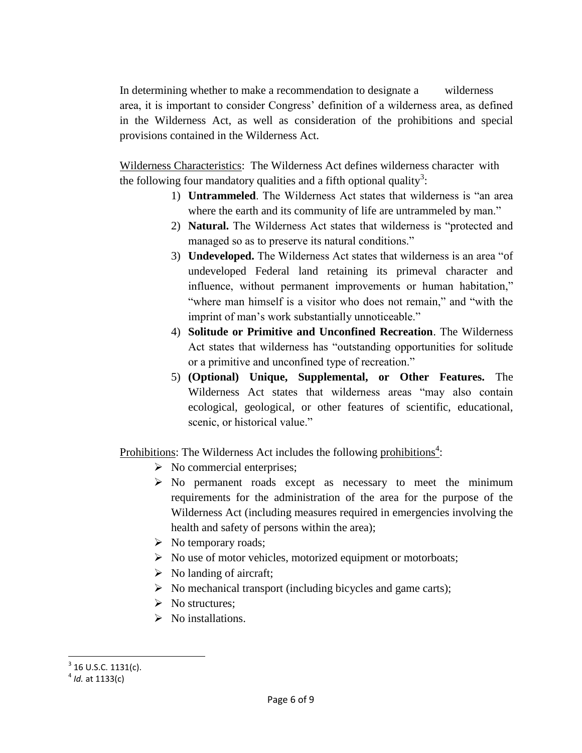In determining whether to make a recommendation to designate a wilderness area, it is important to consider Congress' definition of a wilderness area, as defined in the Wilderness Act, as well as consideration of the prohibitions and special provisions contained in the Wilderness Act.

Wilderness Characteristics: The Wilderness Act defines wilderness character with the following four mandatory qualities and a fifth optional quality<sup>3</sup>:

- 1) **Untrammeled**. The Wilderness Act states that wilderness is "an area where the earth and its community of life are untrammeled by man."
- 2) **Natural.** The Wilderness Act states that wilderness is "protected and managed so as to preserve its natural conditions."
- 3) **Undeveloped.** The Wilderness Act states that wilderness is an area "of undeveloped Federal land retaining its primeval character and influence, without permanent improvements or human habitation," "where man himself is a visitor who does not remain," and "with the imprint of man's work substantially unnoticeable."
- 4) **Solitude or Primitive and Unconfined Recreation**. The Wilderness Act states that wilderness has "outstanding opportunities for solitude or a primitive and unconfined type of recreation."
- 5) **(Optional) Unique, Supplemental, or Other Features.** The Wilderness Act states that wilderness areas "may also contain ecological, geological, or other features of scientific, educational, scenic, or historical value."

Prohibitions: The Wilderness Act includes the following prohibitions<sup>4</sup>:

- $\triangleright$  No commercial enterprises;
- $\triangleright$  No permanent roads except as necessary to meet the minimum requirements for the administration of the area for the purpose of the Wilderness Act (including measures required in emergencies involving the health and safety of persons within the area);
- $\triangleright$  No temporary roads;
- $\triangleright$  No use of motor vehicles, motorized equipment or motorboats;
- $\triangleright$  No landing of aircraft;
- $\triangleright$  No mechanical transport (including bicycles and game carts);
- $\triangleright$  No structures:
- $\triangleright$  No installations.

l

 $3$  16 U.S.C. 1131(c).

<sup>4</sup> *Id.* at 1133(c)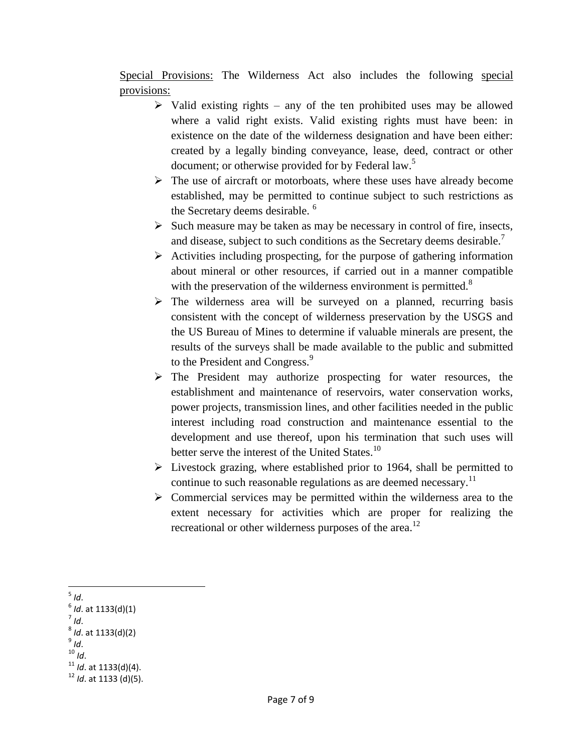Special Provisions: The Wilderness Act also includes the following special provisions:

- $\triangleright$  Valid existing rights any of the ten prohibited uses may be allowed where a valid right exists. Valid existing rights must have been: in existence on the date of the wilderness designation and have been either: created by a legally binding conveyance, lease, deed, contract or other document; or otherwise provided for by Federal law.<sup>5</sup>
- $\triangleright$  The use of aircraft or motorboats, where these uses have already become established, may be permitted to continue subject to such restrictions as the Secretary deems desirable. <sup>6</sup>
- $\triangleright$  Such measure may be taken as may be necessary in control of fire, insects, and disease, subject to such conditions as the Secretary deems desirable.<sup>7</sup>
- $\triangleright$  Activities including prospecting, for the purpose of gathering information about mineral or other resources, if carried out in a manner compatible with the preservation of the wilderness environment is permitted.<sup>8</sup>
- $\triangleright$  The wilderness area will be surveyed on a planned, recurring basis consistent with the concept of wilderness preservation by the USGS and the US Bureau of Mines to determine if valuable minerals are present, the results of the surveys shall be made available to the public and submitted to the President and Congress.<sup>9</sup>
- $\triangleright$  The President may authorize prospecting for water resources, the establishment and maintenance of reservoirs, water conservation works, power projects, transmission lines, and other facilities needed in the public interest including road construction and maintenance essential to the development and use thereof, upon his termination that such uses will better serve the interest of the United States.<sup>10</sup>
- $\triangleright$  Livestock grazing, where established prior to 1964, shall be permitted to continue to such reasonable regulations as are deemed necessary.<sup>11</sup>
- $\triangleright$  Commercial services may be permitted within the wilderness area to the extent necessary for activities which are proper for realizing the recreational or other wilderness purposes of the area.<sup>12</sup>

 $\overline{\phantom{a}}$ 5 *Id*. 6 *Id*. at 1133(d)(1) 7 *Id*. 8 *Id*. at 1133(d)(2) 9 *Id*. <sup>10</sup> *Id*. <sup>11</sup> *Id*. at 1133(d)(4). <sup>12</sup> *Id*. at 1133 (d)(5).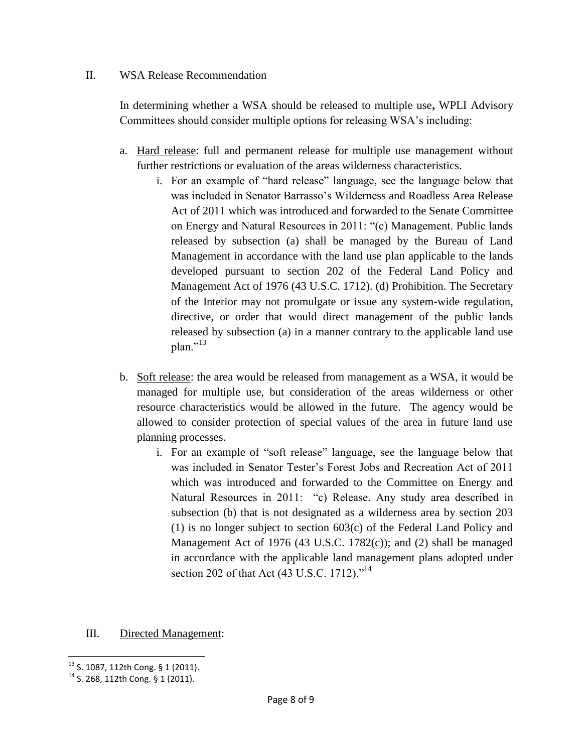#### II. WSA Release Recommendation

In determining whether a WSA should be released to multiple use**,** WPLI Advisory Committees should consider multiple options for releasing WSA's including:

- a. Hard release: full and permanent release for multiple use management without further restrictions or evaluation of the areas wilderness characteristics.
	- i. For an example of "hard release" language, see the language below that was included in Senator Barrasso's Wilderness and Roadless Area Release Act of 2011 which was introduced and forwarded to the Senate Committee on Energy and Natural Resources in 2011: "(c) Management. Public lands released by subsection (a) shall be managed by the Bureau of Land Management in accordance with the land use plan applicable to the lands developed pursuant to section 202 of the Federal Land Policy and Management Act of 1976 (43 U.S.C. 1712). (d) Prohibition. The Secretary of the Interior may not promulgate or issue any system-wide regulation, directive, or order that would direct management of the public lands released by subsection (a) in a manner contrary to the applicable land use plan."<sup>13</sup>
- b. Soft release: the area would be released from management as a WSA, it would be managed for multiple use, but consideration of the areas wilderness or other resource characteristics would be allowed in the future. The agency would be allowed to consider protection of special values of the area in future land use planning processes.
	- i. For an example of "soft release" language, see the language below that was included in Senator Tester's Forest Jobs and Recreation Act of 2011 which was introduced and forwarded to the Committee on Energy and Natural Resources in 2011: "c) Release. Any study area described in subsection (b) that is not designated as a wilderness area by section 203 (1) is no longer subject to section 603(c) of the Federal Land Policy and Management Act of 1976 (43 U.S.C. 1782(c)); and (2) shall be managed in accordance with the applicable land management plans adopted under section 202 of that Act (43 U.S.C. 1712)."<sup>14</sup>

#### III. Directed Management:

l  $13$  S. 1087, 112th Cong. § 1 (2011).

<sup>14</sup> S. 268, 112th Cong. § 1 (2011).